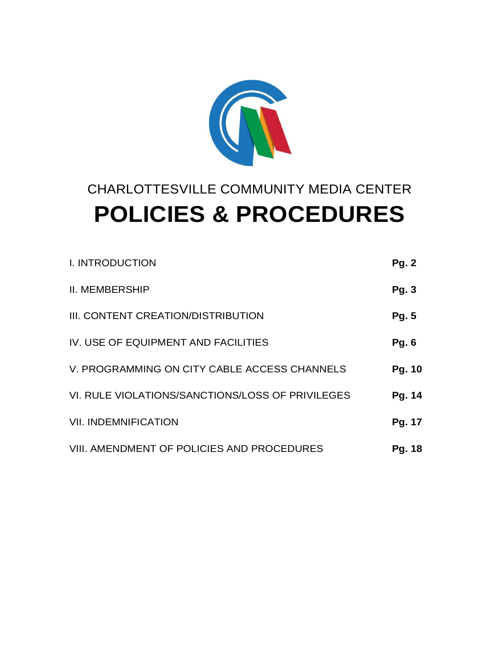

# CHARLOTTESVILLE COMMUNITY MEDIA CENTER **POLICIES & PROCEDURES**

| <b>I. INTRODUCTION</b>                           | <b>Pg. 2</b> |
|--------------------------------------------------|--------------|
| <b>II. MEMBERSHIP</b>                            | <b>Pg. 3</b> |
| III. CONTENT CREATION/DISTRIBUTION               | <b>Pg. 5</b> |
| IV. USE OF EQUIPMENT AND FACILITIES              | <b>Pg. 6</b> |
| V. PROGRAMMING ON CITY CABLE ACCESS CHANNELS     | Pg. 10       |
| VI. RULE VIOLATIONS/SANCTIONS/LOSS OF PRIVILEGES | Pg. 14       |
| <b>VII. INDEMNIFICATION</b>                      | Pg. 17       |
| VIII. AMENDMENT OF POLICIES AND PROCEDURES       | Pg. 18       |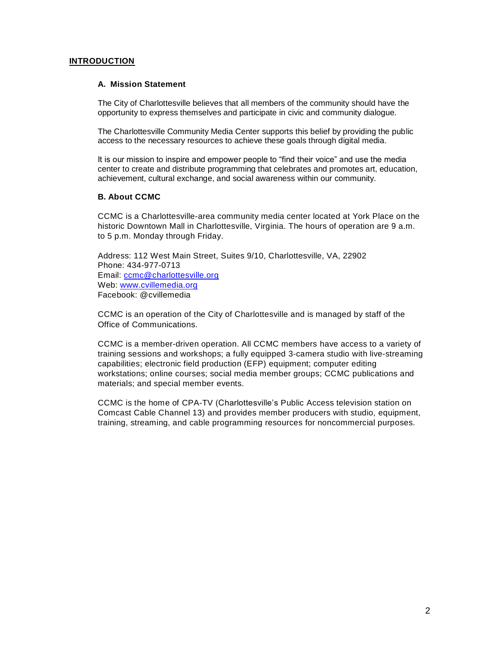#### **INTRODUCTION**

#### **A. Mission Statement**

The City of Charlottesville believes that all members of the community should have the opportunity to express themselves and participate in civic and community dialogue.

The Charlottesville Community Media Center supports this belief by providing the public access to the necessary resources to achieve these goals through digital media.

It is our mission to inspire and empower people to "find their voice" and use the media center to create and distribute programming that celebrates and promotes art, education, achievement, cultural exchange, and social awareness within our community.

#### **B. About CCMC**

CCMC is a Charlottesville-area community media center located at York Place on the historic Downtown Mall in Charlottesville, Virginia. The hours of operation are 9 a.m. to 5 p.m. Monday through Friday.

Address: 112 West Main Street, Suites 9/10, Charlottesville, VA, 22902 Phone: 434-977-0713 Email: [ccmc@charlottesville.org](mailto:ccmc@charlottesville.org) Web: [www.cvillemedia.org](http://www.cvillemedia.org/) Facebook: @cvillemedia

CCMC is an operation of the City of Charlottesville and is managed by staff of the Office of Communications.

CCMC is a member-driven operation. All CCMC members have access to a variety of training sessions and workshops; a fully equipped 3-camera studio with live-streaming capabilities; electronic field production (EFP) equipment; computer editing workstations; online courses; social media member groups; CCMC publications and materials; and special member events.

CCMC is the home of CPA-TV (Charlottesville's Public Access television station on Comcast Cable Channel 13) and provides member producers with studio, equipment, training, streaming, and cable programming resources for noncommercial purposes.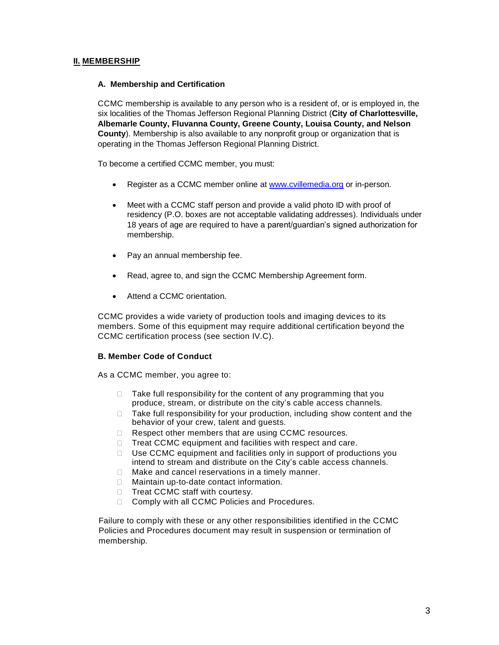## **II. MEMBERSHIP**

#### **A. Membership and Certification**

CCMC membership is available to any person who is a resident of, or is employed in, the six localities of the Thomas Jefferson Regional Planning District (**City of Charlottesville, Albemarle County, Fluvanna County, Greene County, Louisa County, and Nelson County**). Membership is also available to any nonprofit group or organization that is operating in the Thomas Jefferson Regional Planning District.

To become a certified CCMC member, you must:

- Register as a CCMC member online at [www.cvillemedia.org](http://www.cvillemedia.org/) or in-person.
- Meet with a CCMC staff person and provide a valid photo ID with proof of residency (P.O. boxes are not acceptable validating addresses). Individuals under 18 years of age are required to have a parent/guardian's signed authorization for membership.
- Pay an annual membership fee.
- Read, agree to, and sign the CCMC Membership Agreement form.
- Attend a CCMC orientation.

CCMC provides a wide variety of production tools and imaging devices to its members. Some of this equipment may require additional certification beyond the CCMC certification process (see section IV.C).

#### **B. Member Code of Conduct**

As a CCMC member, you agree to:

- $\Box$  Take full responsibility for the content of any programming that you produce, stream, or distribute on the city's cable access channels.
- □ Take full responsibility for your production, including show content and the behavior of your crew, talent and guests.
- $\Box$  Respect other members that are using CCMC resources.
- $\Box$  Treat CCMC equipment and facilities with respect and care.
- □ Use CCMC equipment and facilities only in support of productions you intend to stream and distribute on the City's cable access channels.
- $\Box$  Make and cancel reservations in a timely manner.
- □ Maintain up-to-date contact information.
- $\Box$  Treat CCMC staff with courtesy.
- □ Comply with all CCMC Policies and Procedures.

Failure to comply with these or any other responsibilities identified in the CCMC Policies and Procedures document may result in suspension or termination of membership.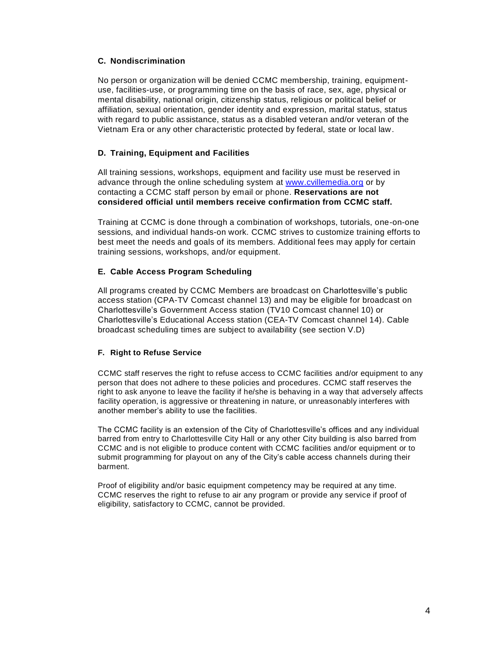### **C. Nondiscrimination**

No person or organization will be denied CCMC membership, training, equipmentuse, facilities-use, or programming time on the basis of race, sex, age, physical or mental disability, national origin, citizenship status, religious or political belief or affiliation, sexual orientation, gender identity and expression, marital status, status with regard to public assistance, status as a disabled veteran and/or veteran of the Vietnam Era or any other characteristic protected by federal, state or local law.

## **D. Training, Equipment and Facilities**

All training sessions, workshops, equipment and facility use must be reserved in advance through the online scheduling system at [www.cvillemedia.org](http://www.cvillemedia.org/) or by contacting a CCMC staff person by email or phone. **Reservations are not considered official until members receive confirmation from CCMC staff.**

Training at CCMC is done through a combination of workshops, tutorials, one-on-one sessions, and individual hands-on work. CCMC strives to customize training efforts to best meet the needs and goals of its members. Additional fees may apply for certain training sessions, workshops, and/or equipment.

## **E. Cable Access Program Scheduling**

All programs created by CCMC Members are broadcast on Charlottesville's public access station (CPA-TV Comcast channel 13) and may be eligible for broadcast on Charlottesville's Government Access station (TV10 Comcast channel 10) or Charlottesville's Educational Access station (CEA-TV Comcast channel 14). Cable broadcast scheduling times are subject to availability (see section V.D)

#### **F. Right to Refuse Service**

CCMC staff reserves the right to refuse access to CCMC facilities and/or equipment to any person that does not adhere to these policies and procedures. CCMC staff reserves the right to ask anyone to leave the facility if he/she is behaving in a way that adversely affects facility operation, is aggressive or threatening in nature, or unreasonably interferes with another member's ability to use the facilities.

The CCMC facility is an extension of the City of Charlottesville's offices and any individual barred from entry to Charlottesville City Hall or any other City building is also barred from CCMC and is not eligible to produce content with CCMC facilities and/or equipment or to submit programming for playout on any of the City's cable access channels during their barment.

Proof of eligibility and/or basic equipment competency may be required at any time. CCMC reserves the right to refuse to air any program or provide any service if proof of eligibility, satisfactory to CCMC, cannot be provided.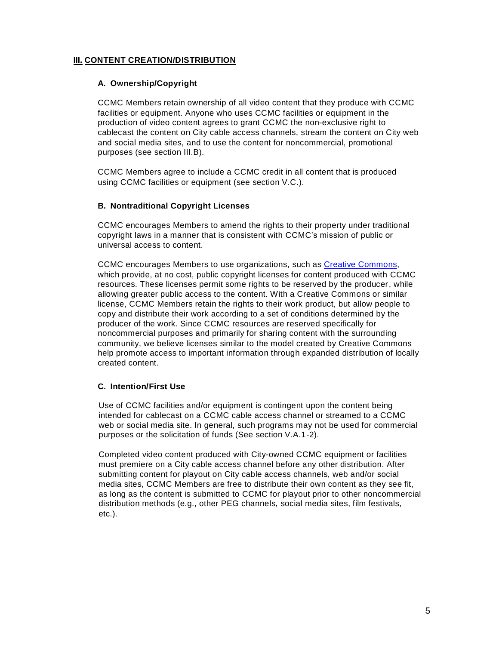# **III. CONTENT CREATION/DISTRIBUTION**

## **A. Ownership/Copyright**

CCMC Members retain ownership of all video content that they produce with CCMC facilities or equipment. Anyone who uses CCMC facilities or equipment in the production of video content agrees to grant CCMC the non-exclusive right to cablecast the content on City cable access channels, stream the content on City web and social media sites, and to use the content for noncommercial, promotional purposes (see section III.B).

CCMC Members agree to include a CCMC credit in all content that is produced using CCMC facilities or equipment (see section V.C.).

## **B. Nontraditional Copyright Licenses**

CCMC encourages Members to amend the rights to their property under traditional copyright laws in a manner that is consistent with CCMC's mission of public or universal access to content.

CCMC encourages Members to use organizations, such as [Creative Commons,](https://creativecommons.org/) which provide, at no cost, public copyright licenses for content produced with CCMC resources. These licenses permit some rights to be reserved by the producer, while allowing greater public access to the content. With a Creative Commons or similar license, CCMC Members retain the rights to their work product, but allow people to copy and distribute their work according to a set of conditions determined by the producer of the work. Since CCMC resources are reserved specifically for noncommercial purposes and primarily for sharing content with the surrounding community, we believe licenses similar to the model created by Creative Commons help promote access to important information through expanded distribution of locally created content.

## **C. Intention/First Use**

Use of CCMC facilities and/or equipment is contingent upon the content being intended for cablecast on a CCMC cable access channel or streamed to a CCMC web or social media site. In general, such programs may not be used for commercial purposes or the solicitation of funds (See section V.A.1-2).

Completed video content produced with City-owned CCMC equipment or facilities must premiere on a City cable access channel before any other distribution. After submitting content for playout on City cable access channels, web and/or social media sites, CCMC Members are free to distribute their own content as they see fit, as long as the content is submitted to CCMC for playout prior to other noncommercial distribution methods (e.g., other PEG channels, social media sites, film festivals, etc.).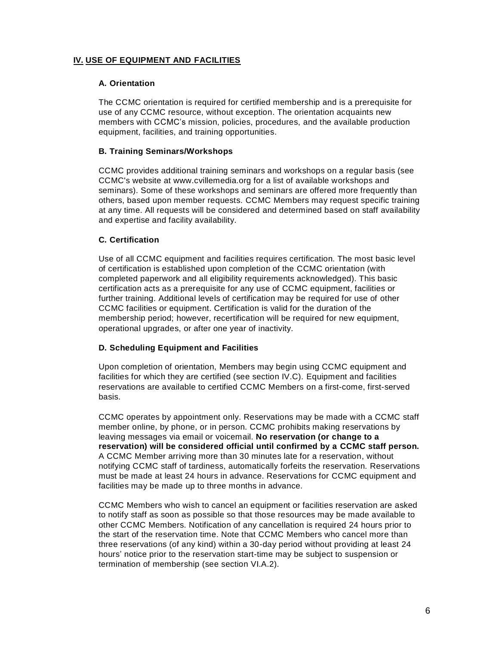# **IV. USE OF EQUIPMENT AND FACILITIES**

#### **A. Orientation**

The CCMC orientation is required for certified membership and is a prerequisite for use of any CCMC resource, without exception. The orientation acquaints new members with CCMC's mission, policies, procedures, and the available production equipment, facilities, and training opportunities.

#### **B. Training Seminars/Workshops**

CCMC provides additional training seminars and workshops on a regular basis (see CCMC's website at www.cvillemedia.org for a list of available workshops and seminars). Some of these workshops and seminars are offered more frequently than others, based upon member requests. CCMC Members may request specific training at any time. All requests will be considered and determined based on staff availability and expertise and facility availability.

## **C. Certification**

Use of all CCMC equipment and facilities requires certification. The most basic level of certification is established upon completion of the CCMC orientation (with completed paperwork and all eligibility requirements acknowledged). This basic certification acts as a prerequisite for any use of CCMC equipment, facilities or further training. Additional levels of certification may be required for use of other CCMC facilities or equipment. Certification is valid for the duration of the membership period; however, recertification will be required for new equipment, operational upgrades, or after one year of inactivity.

## **D. Scheduling Equipment and Facilities**

Upon completion of orientation, Members may begin using CCMC equipment and facilities for which they are certified (see section IV.C). Equipment and facilities reservations are available to certified CCMC Members on a first-come, first-served basis.

CCMC operates by appointment only. Reservations may be made with a CCMC staff member online, by phone, or in person. CCMC prohibits making reservations by leaving messages via email or voicemail. **No reservation (or change to a reservation) will be considered official until confirmed by a CCMC staff person.** A CCMC Member arriving more than 30 minutes late for a reservation, without notifying CCMC staff of tardiness, automatically forfeits the reservation. Reservations must be made at least 24 hours in advance. Reservations for CCMC equipment and facilities may be made up to three months in advance.

CCMC Members who wish to cancel an equipment or facilities reservation are asked to notify staff as soon as possible so that those resources may be made available to other CCMC Members. Notification of any cancellation is required 24 hours prior to the start of the reservation time. Note that CCMC Members who cancel more than three reservations (of any kind) within a 30-day period without providing at least 24 hours' notice prior to the reservation start-time may be subject to suspension or termination of membership (see section VI.A.2).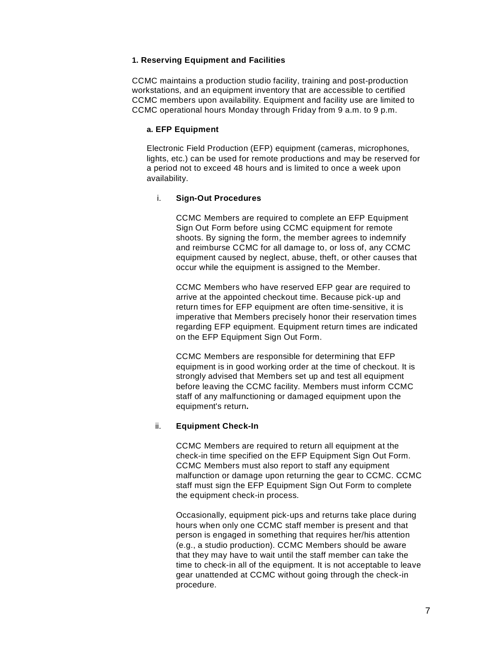#### **1. Reserving Equipment and Facilities**

CCMC maintains a production studio facility, training and post-production workstations, and an equipment inventory that are accessible to certified CCMC members upon availability. Equipment and facility use are limited to CCMC operational hours Monday through Friday from 9 a.m. to 9 p.m.

#### **a. EFP Equipment**

Electronic Field Production (EFP) equipment (cameras, microphones, lights, etc.) can be used for remote productions and may be reserved for a period not to exceed 48 hours and is limited to once a week upon availability.

#### i. **Sign-Out Procedures**

CCMC Members are required to complete an EFP Equipment Sign Out Form before using CCMC equipment for remote shoots. By signing the form, the member agrees to indemnify and reimburse CCMC for all damage to, or loss of, any CCMC equipment caused by neglect, abuse, theft, or other causes that occur while the equipment is assigned to the Member.

CCMC Members who have reserved EFP gear are required to arrive at the appointed checkout time. Because pick-up and return times for EFP equipment are often time-sensitive, it is imperative that Members precisely honor their reservation times regarding EFP equipment. Equipment return times are indicated on the EFP Equipment Sign Out Form.

CCMC Members are responsible for determining that EFP equipment is in good working order at the time of checkout. It is strongly advised that Members set up and test all equipment before leaving the CCMC facility. Members must inform CCMC staff of any malfunctioning or damaged equipment upon the equipment's return**.**

## ii. **Equipment Check-In**

CCMC Members are required to return all equipment at the check-in time specified on the EFP Equipment Sign Out Form. CCMC Members must also report to staff any equipment malfunction or damage upon returning the gear to CCMC. CCMC staff must sign the EFP Equipment Sign Out Form to complete the equipment check-in process.

Occasionally, equipment pick-ups and returns take place during hours when only one CCMC staff member is present and that person is engaged in something that requires her/his attention (e.g., a studio production). CCMC Members should be aware that they may have to wait until the staff member can take the time to check-in all of the equipment. It is not acceptable to leave gear unattended at CCMC without going through the check-in procedure.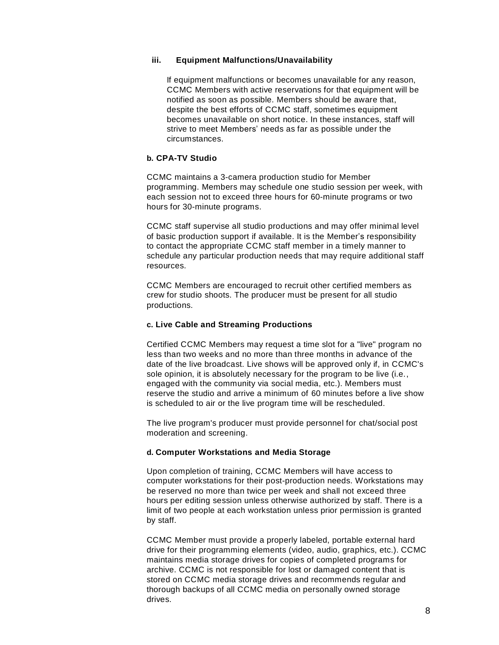#### **iii. Equipment Malfunctions/Unavailability**

If equipment malfunctions or becomes unavailable for any reason, CCMC Members with active reservations for that equipment will be notified as soon as possible. Members should be aware that, despite the best efforts of CCMC staff, sometimes equipment becomes unavailable on short notice. In these instances, staff will strive to meet Members' needs as far as possible under the circumstances.

### **b. CPA-TV Studio**

CCMC maintains a 3-camera production studio for Member programming. Members may schedule one studio session per week, with each session not to exceed three hours for 60-minute programs or two hours for 30-minute programs.

CCMC staff supervise all studio productions and may offer minimal level of basic production support if available. It is the Member's responsibility to contact the appropriate CCMC staff member in a timely manner to schedule any particular production needs that may require additional staff resources.

CCMC Members are encouraged to recruit other certified members as crew for studio shoots. The producer must be present for all studio productions.

#### **c. Live Cable and Streaming Productions**

Certified CCMC Members may request a time slot for a "live" program no less than two weeks and no more than three months in advance of the date of the live broadcast. Live shows will be approved only if, in CCMC's sole opinion, it is absolutely necessary for the program to be live (i.e., engaged with the community via social media, etc.). Members must reserve the studio and arrive a minimum of 60 minutes before a live show is scheduled to air or the live program time will be rescheduled.

The live program's producer must provide personnel for chat/social post moderation and screening.

## **d. Computer Workstations and Media Storage**

Upon completion of training, CCMC Members will have access to computer workstations for their post-production needs. Workstations may be reserved no more than twice per week and shall not exceed three hours per editing session unless otherwise authorized by staff. There is a limit of two people at each workstation unless prior permission is granted by staff.

CCMC Member must provide a properly labeled, portable external hard drive for their programming elements (video, audio, graphics, etc.). CCMC maintains media storage drives for copies of completed programs for archive. CCMC is not responsible for lost or damaged content that is stored on CCMC media storage drives and recommends regular and thorough backups of all CCMC media on personally owned storage drives.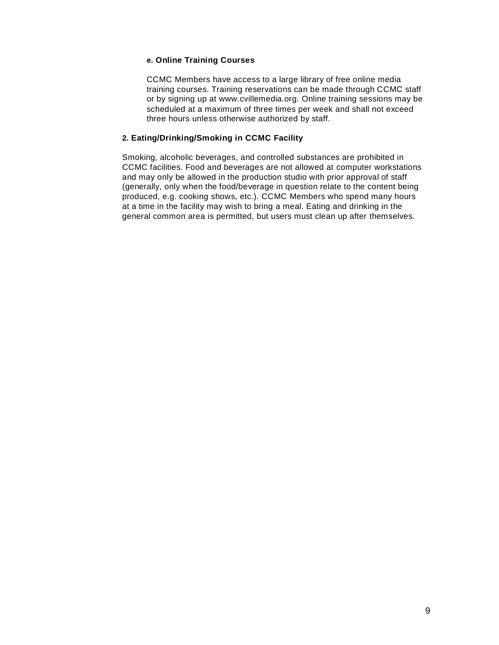#### **e. Online Training Courses**

CCMC Members have access to a large library of free online media training courses. Training reservations can be made through CCMC staff or by signing up at www.cvillemedia.org. Online training sessions may be scheduled at a maximum of three times per week and shall not exceed three hours unless otherwise authorized by staff.

#### **2. Eating/Drinking/Smoking in CCMC Facility**

Smoking, alcoholic beverages, and controlled substances are prohibited in CCMC facilities. Food and beverages are not allowed at computer workstations and may only be allowed in the production studio with prior approval of staff (generally, only when the food/beverage in question relate to the content being produced, e.g. cooking shows, etc.). CCMC Members who spend many hours at a time in the facility may wish to bring a meal. Eating and drinking in the general common area is permitted, but users must clean up after themselves.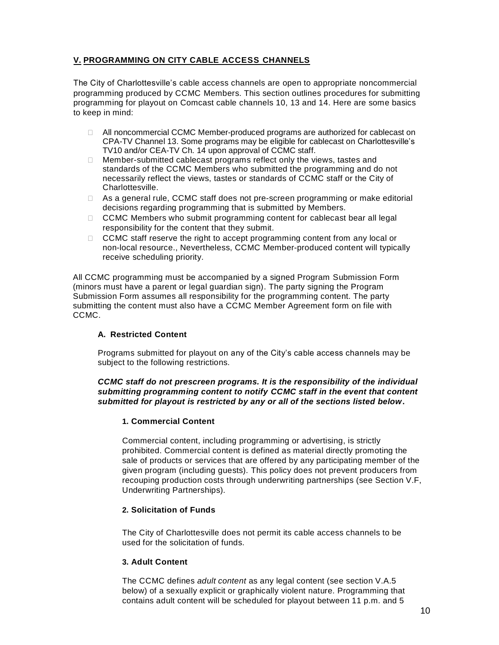# **V. PROGRAMMING ON CITY CABLE ACCESS CHANNELS**

The City of Charlottesville's cable access channels are open to appropriate noncommercial programming produced by CCMC Members. This section outlines procedures for submitting programming for playout on Comcast cable channels 10, 13 and 14. Here are some basics to keep in mind:

- □ All noncommercial CCMC Member-produced programs are authorized for cablecast on CPA-TV Channel 13. Some programs may be eligible for cablecast on Charlottesville's TV10 and/or CEA-TV Ch. 14 upon approval of CCMC staff.
- $\Box$  Member-submitted cablecast programs reflect only the views, tastes and standards of the CCMC Members who submitted the programming and do not necessarily reflect the views, tastes or standards of CCMC staff or the City of Charlottesville.
- $\Box$  As a general rule, CCMC staff does not pre-screen programming or make editorial decisions regarding programming that is submitted by Members.
- $\Box$  CCMC Members who submit programming content for cablecast bear all legal responsibility for the content that they submit.
- □ CCMC staff reserve the right to accept programming content from any local or non-local resource., Nevertheless, CCMC Member-produced content will typically receive scheduling priority.

All CCMC programming must be accompanied by a signed Program Submission Form (minors must have a parent or legal guardian sign). The party signing the Program Submission Form assumes all responsibility for the programming content. The party submitting the content must also have a CCMC Member Agreement form on file with CCMC.

## **A. Restricted Content**

Programs submitted for playout on any of the City's cable access channels may be subject to the following restrictions.

#### *CCMC staff do not prescreen programs. It is the responsibility of the individual submitting programming content to notify CCMC staff in the event that content submitted for playout is restricted by any or all of the sections listed below***.**

## **1. Commercial Content**

Commercial content, including programming or advertising, is strictly prohibited. Commercial content is defined as material directly promoting the sale of products or services that are offered by any participating member of the given program (including guests). This policy does not prevent producers from recouping production costs through underwriting partnerships (see Section V.F, Underwriting Partnerships).

## **2. Solicitation of Funds**

The City of Charlottesville does not permit its cable access channels to be used for the solicitation of funds.

## **3. Adult Content**

The CCMC defines *adult content* as any legal content (see section V.A.5 below) of a sexually explicit or graphically violent nature. Programming that contains adult content will be scheduled for playout between 11 p.m. and 5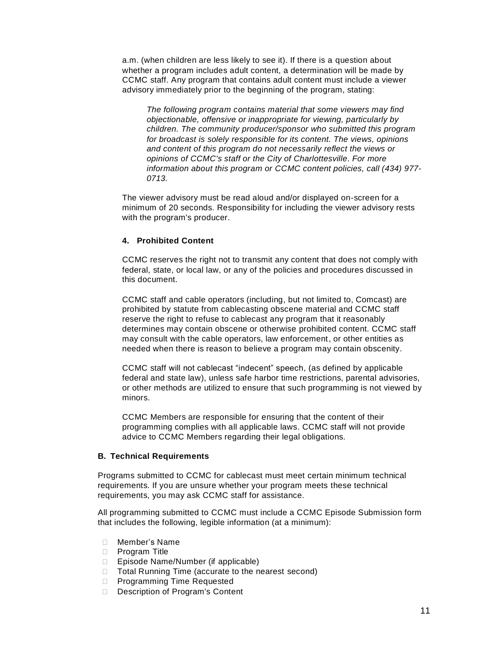a.m. (when children are less likely to see it). If there is a question about whether a program includes adult content, a determination will be made by CCMC staff. Any program that contains adult content must include a viewer advisory immediately prior to the beginning of the program, stating:

*The following program contains material that some viewers may find objectionable, offensive or inappropriate for viewing, particularly by children. The community producer/sponsor who submitted this program for broadcast is solely responsible for its content. The views, opinions and content of this program do not necessarily reflect the views or opinions of CCMC's staff or the City of Charlottesville. For more information about this program or CCMC content policies, call (434) 977- 0713.*

The viewer advisory must be read aloud and/or displayed on-screen for a minimum of 20 seconds. Responsibility for including the viewer advisory rests with the program's producer.

#### **4. Prohibited Content**

CCMC reserves the right not to transmit any content that does not comply with federal, state, or local law, or any of the policies and procedures discussed in this document.

CCMC staff and cable operators (including, but not limited to, Comcast) are prohibited by statute from cablecasting obscene material and CCMC staff reserve the right to refuse to cablecast any program that it reasonably determines may contain obscene or otherwise prohibited content. CCMC staff may consult with the cable operators, law enforcement, or other entities as needed when there is reason to believe a program may contain obscenity.

CCMC staff will not cablecast "indecent" speech, (as defined by applicable federal and state law), unless safe harbor time restrictions, parental advisories, or other methods are utilized to ensure that such programming is not viewed by minors.

CCMC Members are responsible for ensuring that the content of their programming complies with all applicable laws. CCMC staff will not provide advice to CCMC Members regarding their legal obligations.

### **B. Technical Requirements**

Programs submitted to CCMC for cablecast must meet certain minimum technical requirements. If you are unsure whether your program meets these technical requirements, you may ask CCMC staff for assistance.

All programming submitted to CCMC must include a CCMC Episode Submission form that includes the following, legible information (at a minimum):

- Member's Name
- □ Program Title
- □ Episode Name/Number (if applicable)
- □ Total Running Time (accurate to the nearest second)
- D Programming Time Requested
- Description of Program's Content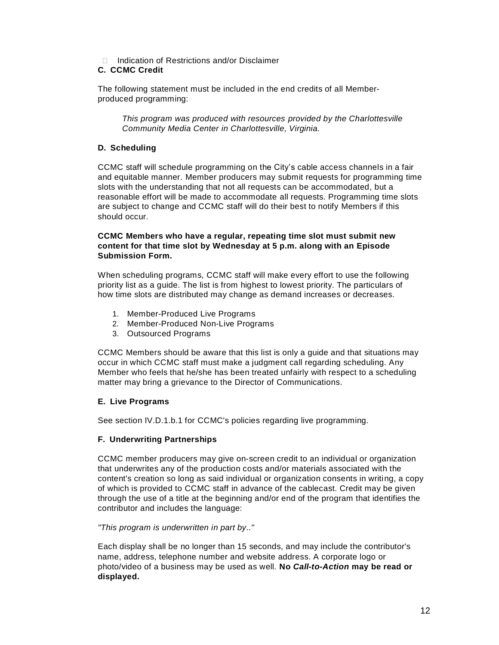Indication of Restrictions and/or Disclaimer

# **C. CCMC Credit**

The following statement must be included in the end credits of all Memberproduced programming:

*This program was produced with resources provided by the Charlottesville Community Media Center in Charlottesville, Virginia.*

## **D. Scheduling**

CCMC staff will schedule programming on the City's cable access channels in a fair and equitable manner. Member producers may submit requests for programming time slots with the understanding that not all requests can be accommodated, but a reasonable effort will be made to accommodate all requests. Programming time slots are subject to change and CCMC staff will do their best to notify Members if this should occur.

#### **CCMC Members who have a regular, repeating time slot must submit new content for that time slot by Wednesday at 5 p.m. along with an Episode Submission Form.**

When scheduling programs, CCMC staff will make every effort to use the following priority list as a guide. The list is from highest to lowest priority. The particulars of how time slots are distributed may change as demand increases or decreases.

- 1. Member-Produced Live Programs
- 2. Member-Produced Non-Live Programs
- 3. Outsourced Programs

CCMC Members should be aware that this list is only a guide and that situations may occur in which CCMC staff must make a judgment call regarding scheduling. Any Member who feels that he/she has been treated unfairly with respect to a scheduling matter may bring a grievance to the Director of Communications.

# **E. Live Programs**

See section IV.D.1.b.1 for CCMC's policies regarding live programming.

## **F. Underwriting Partnerships**

CCMC member producers may give on-screen credit to an individual or organization that underwrites any of the production costs and/or materials associated with the content's creation so long as said individual or organization consents in writing, a copy of which is provided to CCMC staff in advance of the cablecast. Credit may be given through the use of a title at the beginning and/or end of the program that identifies the contributor and includes the language:

## *"This program is underwritten in part by.."*

Each display shall be no longer than 15 seconds, and may include the contributor's name, address, telephone number and website address. A corporate logo or photo/video of a business may be used as well. **No** *Call-to-Action* **may be read or displayed.**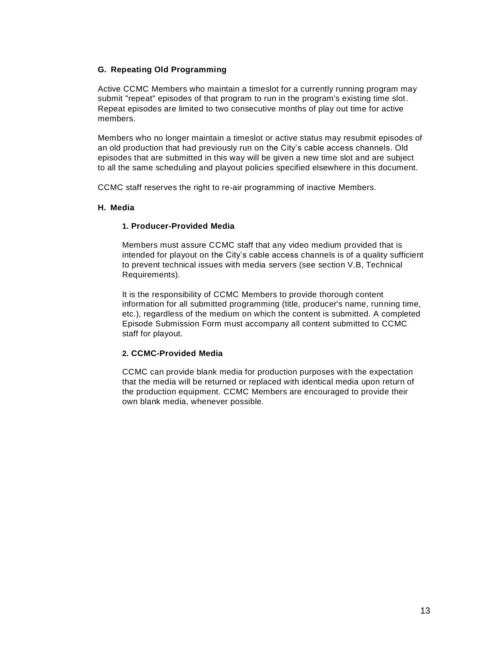## **G. Repeating Old Programming**

Active CCMC Members who maintain a timeslot for a currently running program may submit "repeat" episodes of that program to run in the program's existing time slot. Repeat episodes are limited to two consecutive months of play out time for active members.

Members who no longer maintain a timeslot or active status may resubmit episodes of an old production that had previously run on the City's cable access channels. Old episodes that are submitted in this way will be given a new time slot and are subject to all the same scheduling and playout policies specified elsewhere in this document.

CCMC staff reserves the right to re-air programming of inactive Members.

## **H. Media**

## **1. Producer-Provided Media**

Members must assure CCMC staff that any video medium provided that is intended for playout on the City's cable access channels is of a quality sufficient to prevent technical issues with media servers (see section V.B, Technical Requirements).

It is the responsibility of CCMC Members to provide thorough content information for all submitted programming (title, producer's name, running time, etc.), regardless of the medium on which the content is submitted. A completed Episode Submission Form must accompany all content submitted to CCMC staff for playout.

## **2. CCMC-Provided Media**

CCMC can provide blank media for production purposes with the expectation that the media will be returned or replaced with identical media upon return of the production equipment. CCMC Members are encouraged to provide their own blank media, whenever possible.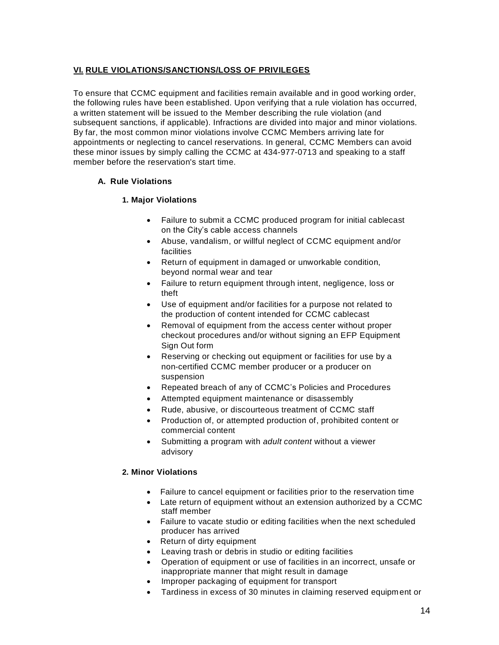# **VI. RULE VIOLATIONS/SANCTIONS/LOSS OF PRIVILEGES**

To ensure that CCMC equipment and facilities remain available and in good working order, the following rules have been established. Upon verifying that a rule violation has occurred, a written statement will be issued to the Member describing the rule violation (and subsequent sanctions, if applicable). Infractions are divided into major and minor violations. By far, the most common minor violations involve CCMC Members arriving late for appointments or neglecting to cancel reservations. In general, CCMC Members can avoid these minor issues by simply calling the CCMC at 434-977-0713 and speaking to a staff member before the reservation's start time.

## **A. Rule Violations**

## **1. Major Violations**

- Failure to submit a CCMC produced program for initial cablecast on the City's cable access channels
- Abuse, vandalism, or willful neglect of CCMC equipment and/or facilities
- Return of equipment in damaged or unworkable condition, beyond normal wear and tear
- Failure to return equipment through intent, negligence, loss or theft
- Use of equipment and/or facilities for a purpose not related to the production of content intended for CCMC cablecast
- Removal of equipment from the access center without proper checkout procedures and/or without signing an EFP Equipment Sign Out form
- Reserving or checking out equipment or facilities for use by a non-certified CCMC member producer or a producer on suspension
- Repeated breach of any of CCMC's Policies and Procedures
- Attempted equipment maintenance or disassembly
- Rude, abusive, or discourteous treatment of CCMC staff
- Production of, or attempted production of, prohibited content or commercial content
- Submitting a program with *adult content* without a viewer advisory

#### **2. Minor Violations**

- Failure to cancel equipment or facilities prior to the reservation time
- Late return of equipment without an extension authorized by a CCMC staff member
- Failure to vacate studio or editing facilities when the next scheduled producer has arrived
- Return of dirty equipment
- Leaving trash or debris in studio or editing facilities
- Operation of equipment or use of facilities in an incorrect, unsafe or inappropriate manner that might result in damage
- Improper packaging of equipment for transport
- Tardiness in excess of 30 minutes in claiming reserved equipment or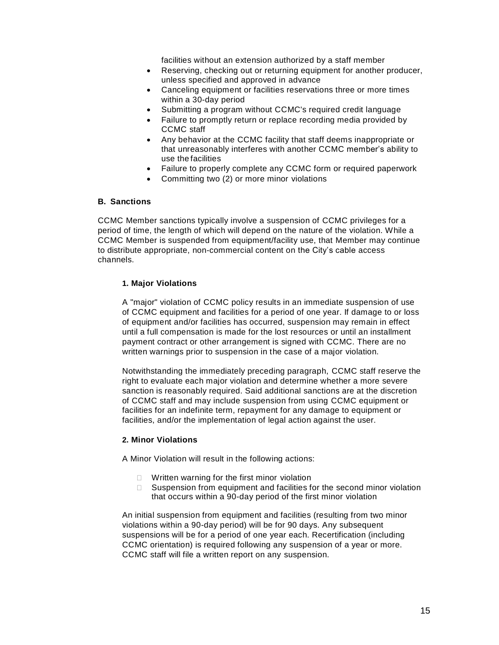facilities without an extension authorized by a staff member

- Reserving, checking out or returning equipment for another producer, unless specified and approved in advance
- Canceling equipment or facilities reservations three or more times within a 30-day period
- Submitting a program without CCMC's required credit language
- Failure to promptly return or replace recording media provided by CCMC staff
- Any behavior at the CCMC facility that staff deems inappropriate or that unreasonably interferes with another CCMC member's ability to use thefacilities
- Failure to properly complete any CCMC form or required paperwork
- Committing two (2) or more minor violations

#### **B. Sanctions**

CCMC Member sanctions typically involve a suspension of CCMC privileges for a period of time, the length of which will depend on the nature of the violation. While a CCMC Member is suspended from equipment/facility use, that Member may continue to distribute appropriate, non-commercial content on the City's cable access channels.

#### **1. Major Violations**

A "major" violation of CCMC policy results in an immediate suspension of use of CCMC equipment and facilities for a period of one year. If damage to or loss of equipment and/or facilities has occurred, suspension may remain in effect until a full compensation is made for the lost resources or until an installment payment contract or other arrangement is signed with CCMC. There are no written warnings prior to suspension in the case of a major violation.

Notwithstanding the immediately preceding paragraph, CCMC staff reserve the right to evaluate each major violation and determine whether a more severe sanction is reasonably required. Said additional sanctions are at the discretion of CCMC staff and may include suspension from using CCMC equipment or facilities for an indefinite term, repayment for any damage to equipment or facilities, and/or the implementation of legal action against the user.

## **2. Minor Violations**

A Minor Violation will result in the following actions:

- $\Box$  Written warning for the first minor violation
- $\Box$  Suspension from equipment and facilities for the second minor violation that occurs within a 90-day period of the first minor violation

An initial suspension from equipment and facilities (resulting from two minor violations within a 90-day period) will be for 90 days. Any subsequent suspensions will be for a period of one year each. Recertification (including CCMC orientation) is required following any suspension of a year or more. CCMC staff will file a written report on any suspension.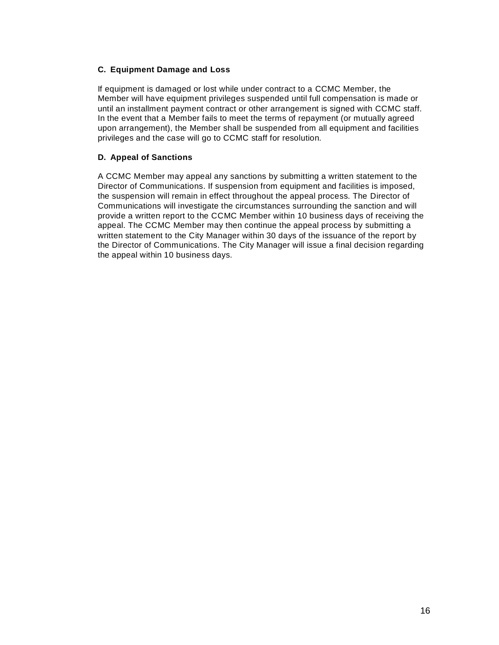## **C. Equipment Damage and Loss**

If equipment is damaged or lost while under contract to a CCMC Member, the Member will have equipment privileges suspended until full compensation is made or until an installment payment contract or other arrangement is signed with CCMC staff. In the event that a Member fails to meet the terms of repayment (or mutually agreed upon arrangement), the Member shall be suspended from all equipment and facilities privileges and the case will go to CCMC staff for resolution.

## **D. Appeal of Sanctions**

A CCMC Member may appeal any sanctions by submitting a written statement to the Director of Communications. If suspension from equipment and facilities is imposed, the suspension will remain in effect throughout the appeal process. The Director of Communications will investigate the circumstances surrounding the sanction and will provide a written report to the CCMC Member within 10 business days of receiving the appeal. The CCMC Member may then continue the appeal process by submitting a written statement to the City Manager within 30 days of the issuance of the report by the Director of Communications. The City Manager will issue a final decision regarding the appeal within 10 business days.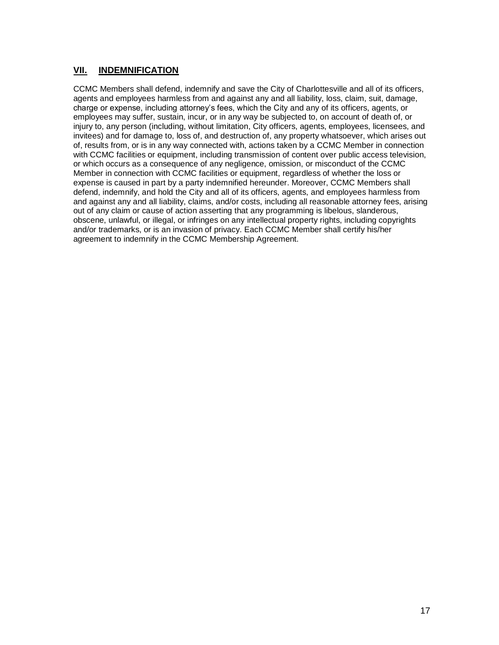# **VII. INDEMNIFICATION**

CCMC Members shall defend, indemnify and save the City of Charlottesville and all of its officers, agents and employees harmless from and against any and all liability, loss, claim, suit, damage, charge or expense, including attorney's fees, which the City and any of its officers, agents, or employees may suffer, sustain, incur, or in any way be subjected to, on account of death of, or injury to, any person (including, without limitation, City officers, agents, employees, licensees, and invitees) and for damage to, loss of, and destruction of, any property whatsoever, which arises out of, results from, or is in any way connected with, actions taken by a CCMC Member in connection with CCMC facilities or equipment, including transmission of content over public access television, or which occurs as a consequence of any negligence, omission, or misconduct of the CCMC Member in connection with CCMC facilities or equipment, regardless of whether the loss or expense is caused in part by a party indemnified hereunder. Moreover, CCMC Members shall defend, indemnify, and hold the City and all of its officers, agents, and employees harmless from and against any and all liability, claims, and/or costs, including all reasonable attorney fees, arising out of any claim or cause of action asserting that any programming is libelous, slanderous, obscene, unlawful, or illegal, or infringes on any intellectual property rights, including copyrights and/or trademarks, or is an invasion of privacy. Each CCMC Member shall certify his/her agreement to indemnify in the CCMC Membership Agreement.